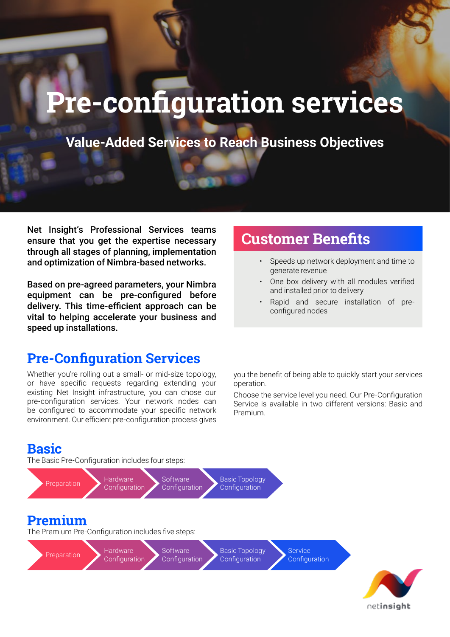# **Pre-configuration services**

**Value-Added Services to Reach Business Objectives**

Net Insight's Professional Services teams ensure that you get the expertise necessary through all stages of planning, implementation and optimization of Nimbra-based networks.

Based on pre-agreed parameters, your Nimbra equipment can be pre-configured before delivery. This time-efficient approach can be vital to helping accelerate your business and speed up installations.

#### **Pre-Configuration Services**

Whether you're rolling out a small- or mid-size topology, or have specific requests regarding extending your existing Net Insight infrastructure, you can chose our pre-configuration services. Your network nodes can be configured to accommodate your specific network environment. Our efficient pre-configuration process gives

## **Customer Benefits**

- Speeds up network deployment and time to generate revenue
- One box delivery with all modules verified and installed prior to delivery
- Rapid and secure installation of preconfigured nodes

you the benefit of being able to quickly start your services operation.

Choose the service level you need. Our Pre-Configuration Service is available in two different versions: Basic and Premium.

#### **Basic**

The Basic Pre-Configuration includes four steps:



netinsight